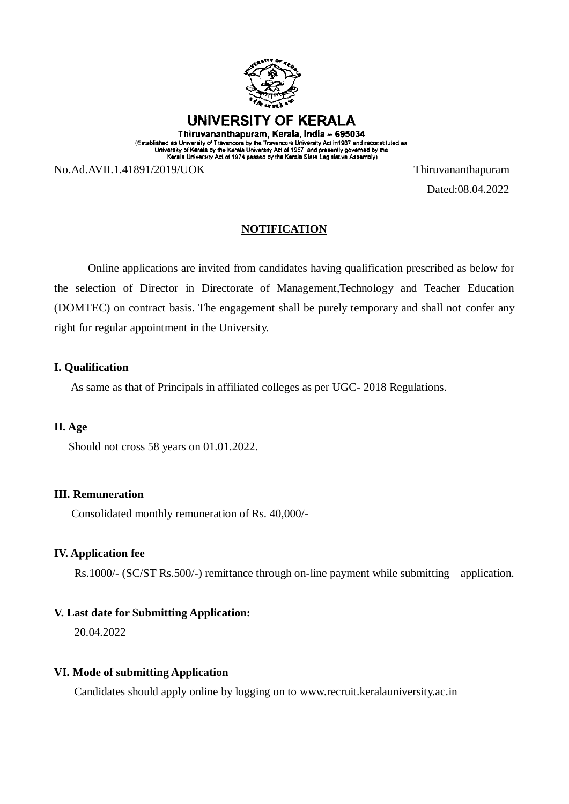

(Established as University of Travancore by the Travancore University Act in 1937 and reconstituted as<br>University of Kerala by the Kerala University Act of 1957 and presently governed by the<br>Kerala University Act of 1974 p

No.Ad.AVII.1.41891/2019/UOK Thiruvananthapuram

Dated:08.04.2022

# **NOTIFICATION**

Online applications are invited from candidates having qualification prescribed as below for the selection of Director in Directorate of Management,Technology and Teacher Education (DOMTEC) on contract basis. The engagement shall be purely temporary and shall not confer any right for regular appointment in the University.

### **I. Qualification**

As same as that of Principals in affiliated colleges as per UGC- 2018 Regulations.

### **II. Age**

Should not cross 58 years on 01.01.2022.

#### **III. Remuneration**

Consolidated monthly remuneration of Rs. 40,000/-

## **IV. Application fee**

Rs.1000/- (SC/ST Rs.500/-) remittance through on-line payment while submitting application.

## **V. Last date for Submitting Application:**

20.04.2022

#### **VI. Mode of submitting Application**

Candidates should apply online by logging on to [www.recruit.keralauniversity.ac.in](http://www.recruit.keralauniversiy.ac.in/)